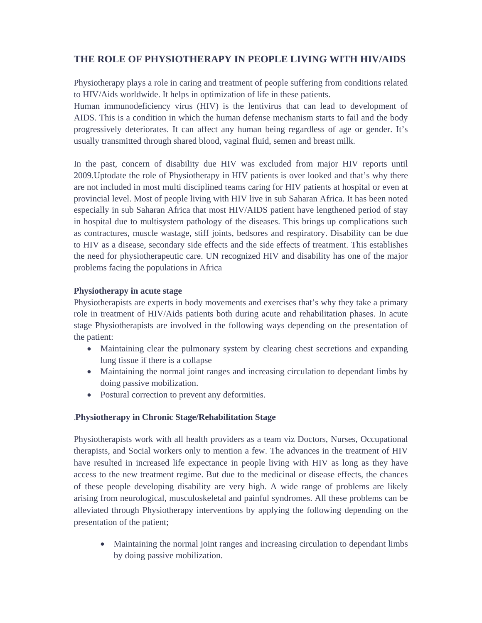## **THE ROLE OF PHYSIOTHERAPY IN PEOPLE LIVING WITH HIV/AIDS**

Physiotherapy plays a role in caring and treatment of people suffering from conditions related to HIV/Aids worldwide. It helps in optimization of life in these patients.

Human immunodeficiency virus (HIV) is the lentivirus that can lead to development of AIDS. This is a condition in which the human defense mechanism starts to fail and the body progressively deteriorates. It can affect any human being regardless of age or gender. It's usually transmitted through shared blood, vaginal fluid, semen and breast milk.

In the past, concern of disability due HIV was excluded from major HIV reports until 2009.Uptodate the role of Physiotherapy in HIV patients is over looked and that's why there are not included in most multi disciplined teams caring for HIV patients at hospital or even at provincial level. Most of people living with HIV live in sub Saharan Africa. It has been noted especially in sub Saharan Africa that most HIV/AIDS patient have lengthened period of stay in hospital due to multisystem pathology of the diseases. This brings up complications such as contractures, muscle wastage, stiff joints, bedsores and respiratory. Disability can be due to HIV as a disease, secondary side effects and the side effects of treatment. This establishes the need for physiotherapeutic care. UN recognized HIV and disability has one of the major problems facing the populations in Africa

## **Physiotherapy in acute stage**

Physiotherapists are experts in body movements and exercises that's why they take a primary role in treatment of HIV/Aids patients both during acute and rehabilitation phases. In acute stage Physiotherapists are involved in the following ways depending on the presentation of the patient:

- Maintaining clear the pulmonary system by clearing chest secretions and expanding lung tissue if there is a collapse
- Maintaining the normal joint ranges and increasing circulation to dependant limbs by doing passive mobilization.
- Postural correction to prevent any deformities.

## .**Physiotherapy in Chronic Stage/Rehabilitation Stage**

Physiotherapists work with all health providers as a team viz Doctors, Nurses, Occupational therapists, and Social workers only to mention a few. The advances in the treatment of HIV have resulted in increased life expectance in people living with HIV as long as they have access to the new treatment regime. But due to the medicinal or disease effects, the chances of these people developing disability are very high. A wide range of problems are likely arising from neurological, musculoskeletal and painful syndromes. All these problems can be alleviated through Physiotherapy interventions by applying the following depending on the presentation of the patient;

• Maintaining the normal joint ranges and increasing circulation to dependant limbs by doing passive mobilization.